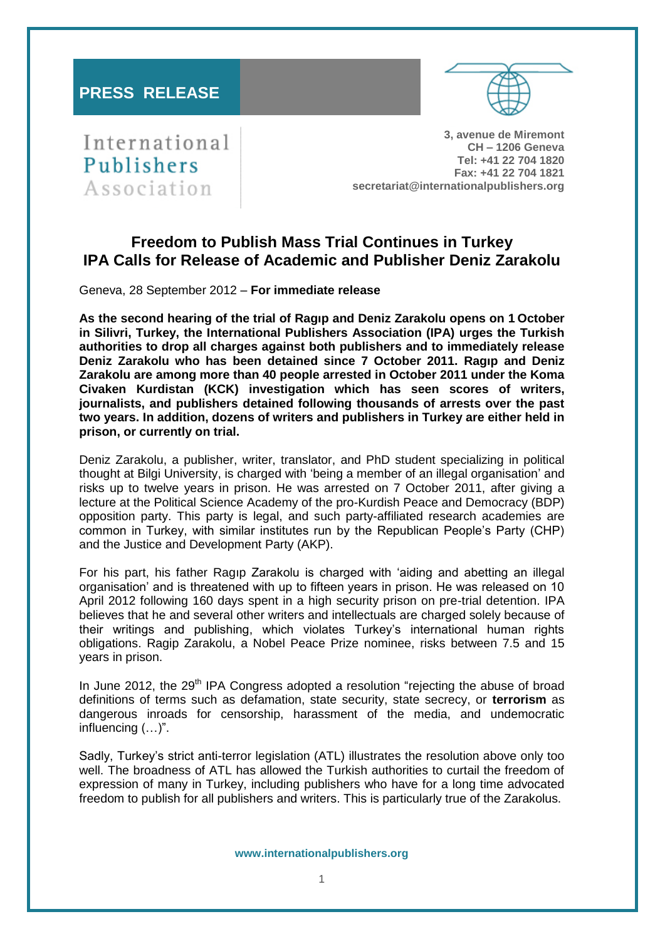# **PRESS RELEASE**



International Publishers Association

**3, avenue de Miremont CH – 1206 Geneva Tel: +41 22 704 1820 Fax: +41 22 704 1821 secretariat@internationalpublishers.org**

# **Freedom to Publish Mass Trial Continues in Turkey IPA Calls for Release of Academic and Publisher Deniz Zarakolu**

Geneva, 28 September 2012 – **For immediate release**

**As the second hearing of the trial of Ragıp and Deniz Zarakolu opens on 1 October in Silivri, Turkey, the International Publishers Association (IPA) urges the Turkish authorities to drop all charges against both publishers and to immediately release Deniz Zarakolu who has been detained since 7 October 2011. Ragıp and Deniz Zarakolu are among more than 40 people arrested in October 2011 under the Koma Civaken Kurdistan (KCK) investigation which has seen scores of writers, journalists, and publishers detained following thousands of arrests over the past two years. In addition, dozens of writers and publishers in Turkey are either held in prison, or currently on trial.**

Deniz Zarakolu, a publisher, writer, translator, and PhD student specializing in political thought at Bilgi University, is charged with 'being a member of an illegal organisation' and risks up to twelve years in prison. He was arrested on 7 October 2011, after giving a lecture at the Political Science Academy of the pro-Kurdish Peace and Democracy (BDP) opposition party. This party is legal, and such party-affiliated research academies are common in Turkey, with similar institutes run by the Republican People's Party (CHP) and the Justice and Development Party (AKP).

For his part, his father Ragıp Zarakolu is charged with 'aiding and abetting an illegal organisation' and is threatened with up to fifteen years in prison. He was released on 10 April 2012 following 160 days spent in a high security prison on pre-trial detention. IPA believes that he and several other writers and intellectuals are charged solely because of their writings and publishing, which violates Turkey's international human rights obligations. Ragip Zarakolu, a Nobel Peace Prize nominee, risks between 7.5 and 15 years in prison.

In June 2012, the 29<sup>th</sup> IPA Congress adopted a resolution "rejecting the abuse of broad definitions of terms such as defamation, state security, state secrecy, or **terrorism** as dangerous inroads for censorship, harassment of the media, and undemocratic influencing (…)".

Sadly, Turkey's strict anti-terror legislation (ATL) illustrates the resolution above only too well. The broadness of ATL has allowed the Turkish authorities to curtail the freedom of expression of many in Turkey, including publishers who have for a long time advocated freedom to publish for all publishers and writers. This is particularly true of the Zarakolus.